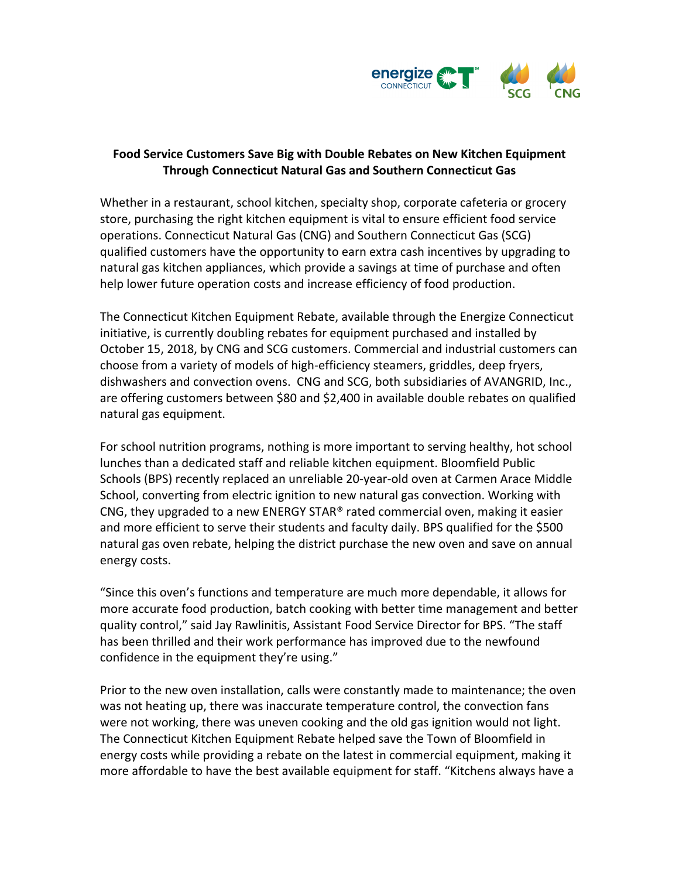

## **Food Service Customers Save Big with Double Rebates on New Kitchen Equipment Through Connecticut Natural Gas and Southern Connecticut Gas**

Whether in a restaurant, school kitchen, specialty shop, corporate cafeteria or grocery store, purchasing the right kitchen equipment is vital to ensure efficient food service operations. Connecticut Natural Gas (CNG) and Southern Connecticut Gas (SCG) qualified customers have the opportunity to earn extra cash incentives by upgrading to natural gas kitchen appliances, which provide a savings at time of purchase and often help lower future operation costs and increase efficiency of food production.

The Connecticut Kitchen Equipment Rebate, available through the Energize Connecticut initiative, is currently doubling rebates for equipment purchased and installed by October 15, 2018, by CNG and SCG customers. Commercial and industrial customers can choose from a variety of models of high-efficiency steamers, griddles, deep fryers, dishwashers and convection ovens. CNG and SCG, both subsidiaries of AVANGRID, Inc., are offering customers between \$80 and \$2,400 in available double rebates on qualified natural gas equipment.

For school nutrition programs, nothing is more important to serving healthy, hot school lunches than a dedicated staff and reliable kitchen equipment. Bloomfield Public Schools (BPS) recently replaced an unreliable 20-year-old oven at Carmen Arace Middle School, converting from electric ignition to new natural gas convection. Working with CNG, they upgraded to a new ENERGY STAR® rated commercial oven, making it easier and more efficient to serve their students and faculty daily. BPS qualified for the \$500 natural gas oven rebate, helping the district purchase the new oven and save on annual energy costs.

"Since this oven's functions and temperature are much more dependable, it allows for more accurate food production, batch cooking with better time management and better quality control," said Jay Rawlinitis, Assistant Food Service Director for BPS. "The staff has been thrilled and their work performance has improved due to the newfound confidence in the equipment they're using."

Prior to the new oven installation, calls were constantly made to maintenance; the oven was not heating up, there was inaccurate temperature control, the convection fans were not working, there was uneven cooking and the old gas ignition would not light. The Connecticut Kitchen Equipment Rebate helped save the Town of Bloomfield in energy costs while providing a rebate on the latest in commercial equipment, making it more affordable to have the best available equipment for staff. "Kitchens always have a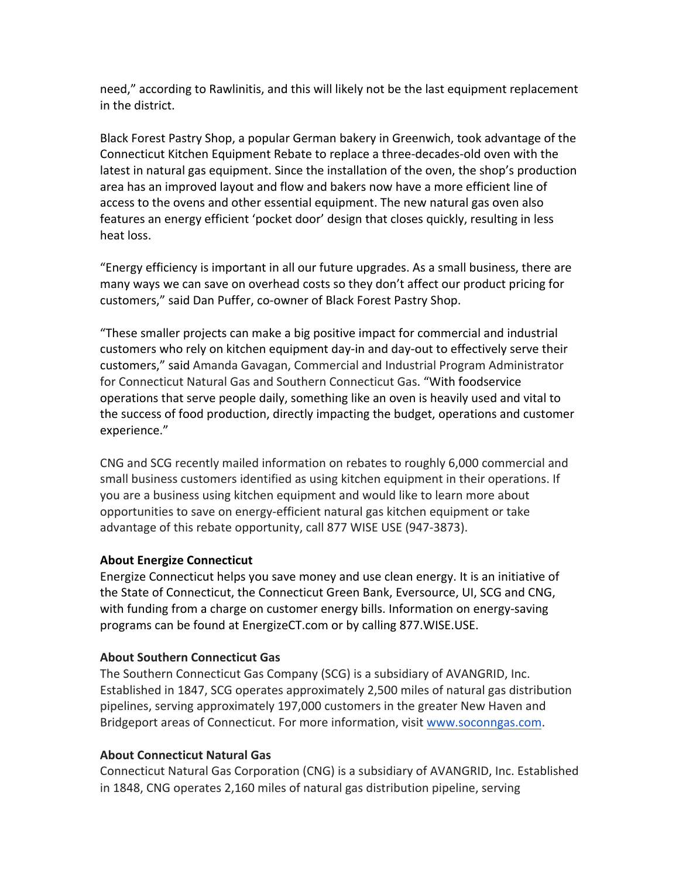need," according to Rawlinitis, and this will likely not be the last equipment replacement in the district.

Black Forest Pastry Shop, a popular German bakery in Greenwich, took advantage of the Connecticut Kitchen Equipment Rebate to replace a three-decades-old oven with the latest in natural gas equipment. Since the installation of the oven, the shop's production area has an improved layout and flow and bakers now have a more efficient line of access to the ovens and other essential equipment. The new natural gas oven also features an energy efficient 'pocket door' design that closes quickly, resulting in less heat loss.

"Energy efficiency is important in all our future upgrades. As a small business, there are many ways we can save on overhead costs so they don't affect our product pricing for customers," said Dan Puffer, co-owner of Black Forest Pastry Shop.

"These smaller projects can make a big positive impact for commercial and industrial customers who rely on kitchen equipment day-in and day-out to effectively serve their customers," said Amanda Gavagan, Commercial and Industrial Program Administrator for Connecticut Natural Gas and Southern Connecticut Gas. "With foodservice operations that serve people daily, something like an oven is heavily used and vital to the success of food production, directly impacting the budget, operations and customer experience."

CNG and SCG recently mailed information on rebates to roughly 6,000 commercial and small business customers identified as using kitchen equipment in their operations. If you are a business using kitchen equipment and would like to learn more about opportunities to save on energy-efficient natural gas kitchen equipment or take advantage of this rebate opportunity, call 877 WISE USE (947-3873).

## **About Energize Connecticut**

Energize Connecticut helps you save money and use clean energy. It is an initiative of the State of Connecticut, the Connecticut Green Bank, Eversource, UI, SCG and CNG, with funding from a charge on customer energy bills. Information on energy-saving programs can be found at EnergizeCT.com or by calling 877.WISE.USE.

## **About Southern Connecticut Gas**

The Southern Connecticut Gas Company (SCG) is a subsidiary of AVANGRID, Inc. Established in 1847, SCG operates approximately 2,500 miles of natural gas distribution pipelines, serving approximately 197,000 customers in the greater New Haven and Bridgeport areas of Connecticut. For more information, visit www.soconngas.com.

## **About Connecticut Natural Gas**

Connecticut Natural Gas Corporation (CNG) is a subsidiary of AVANGRID, Inc. Established in 1848, CNG operates 2,160 miles of natural gas distribution pipeline, serving